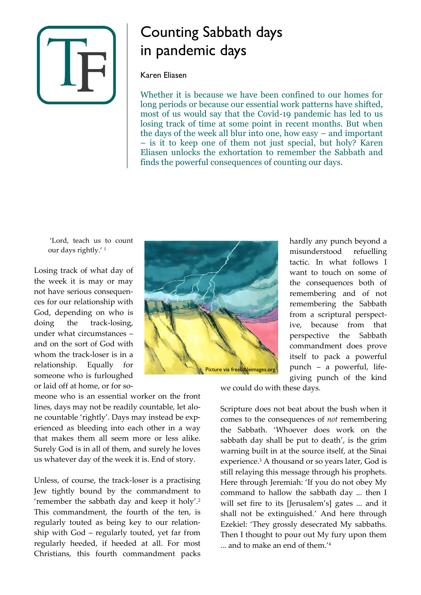

# Counting Sabbath days in pandemic days

#### Karen Eliasen

Whether it is because we have been confined to our homes for long periods or because our essential work patterns have shifted, most of us would say that the Covid-19 pandemic has led to us losing track of time at some point in recent months. But when the days of the week all blur into one, how easy – and important – is it to keep one of them not just special, but holy? Karen Eliasen unlocks the exhortation to remember the Sabbath and finds the powerful consequences of counting our days.

'Lord, teach us to count our days rightly.' 1

Losing track of what day of the week it is may or may not have serious consequences for our relationship with God, depending on who is doing the track-losing, under what circumstances – and on the sort of God with whom the track-loser is in a relationship. Equally for someone who is furloughed or laid off at home, or for so-



hardly any punch beyond a misunderstood refuelling tactic. In what follows I want to touch on some of the consequences both of remembering and of not remembering the Sabbath from a scriptural perspective, because from that perspective the Sabbath commandment does prove itself to pack a powerful punch – a powerful, lifegiving punch of the kind

we could do with these days.

Scripture does not beat about the bush when it comes to the consequences of *not* remembering the Sabbath. 'Whoever does work on the sabbath day shall be put to death', is the grim warning built in at the source itself, at the Sinai experience.<sup>3</sup> A thousand or so years later, God is still relaying this message through his prophets. Here through Jeremiah: 'If you do not obey My command to hallow the sabbath day ... then I will set fire to its [Jerusalem's] gates ... and it shall not be extinguished.' And here through Ezekiel: 'They grossly desecrated My sabbaths. Then I thought to pour out My fury upon them ... and to make an end of them.' 4

meone who is an essential worker on the front lines, days may not be readily countable, let alone countable 'rightly'. Days may instead be experienced as bleeding into each other in a way that makes them all seem more or less alike. Surely God is in all of them, and surely he loves us whatever day of the week it is. End of story.

Unless, of course, the track-loser is a practising Jew tightly bound by the commandment to 'remember the sabbath day and keep it holy'*.* 2 This commandment, the fourth of the ten, is regularly touted as being key to our relationship with God – regularly touted, yet far from regularly heeded, if heeded at all. For most Christians, this fourth commandment packs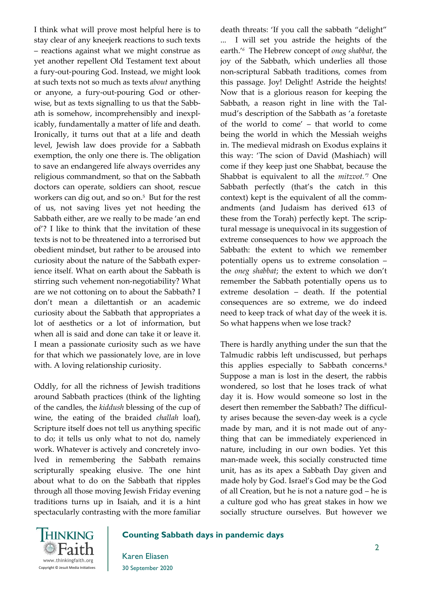I think what will prove most helpful here is to stay clear of any kneejerk reactions to such texts – reactions against what we might construe as yet another repellent Old Testament text about a fury-out-pouring God. Instead, we might look at such texts not so much as texts *about* anything or anyone, a fury-out-pouring God or otherwise, but as texts signalling to us that the Sabbath is somehow, incomprehensibly and inexplicably, fundamentally a matter of life and death. Ironically, it turns out that at a life and death level, Jewish law does provide for a Sabbath exemption, the only one there is. The obligation to save an endangered life always overrides any religious commandment, so that on the Sabbath doctors can operate, soldiers can shoot, rescue workers can dig out, and so on.<sup>5</sup> But for the rest of us, not saving lives yet not heeding the Sabbath either, are we really to be made 'an end of'? I like to think that the invitation of these texts is not to be threatened into a terrorised but obedient mindset, but rather to be aroused into curiosity about the nature of the Sabbath experience itself. What on earth about the Sabbath is stirring such vehement non-negotiability? What are we not cottoning on to about the Sabbath? I don't mean a dilettantish or an academic curiosity about the Sabbath that appropriates a lot of aesthetics or a lot of information, but when all is said and done can take it or leave it. I mean a passionate curiosity such as we have for that which we passionately love, are in love with. A loving relationship curiosity.

Oddly, for all the richness of Jewish traditions around Sabbath practices (think of the lighting of the candles, the *kiddush* blessing of the cup of wine, the eating of the braided *challah* loaf), Scripture itself does not tell us anything specific to do; it tells us only what to not do, namely work. Whatever is actively and concretely involved in remembering the Sabbath remains scripturally speaking elusive. The one hint about what to do on the Sabbath that ripples through all those moving Jewish Friday evening traditions turns up in Isaiah, and it is a hint spectacularly contrasting with the more familiar death threats: 'If you call the sabbath "delight" ... I will set you astride the heights of the earth.' *<sup>6</sup>* The Hebrew concept of *oneg shabbat,* the joy of the Sabbath, which underlies all those non-scriptural Sabbath traditions, comes from this passage. Joy! Delight! Astride the heights! Now that is a glorious reason for keeping the Sabbath, a reason right in line with the Talmud's description of the Sabbath as 'a foretaste of the world to come' – that world to come being the world in which the Messiah weighs in. The medieval midrash on Exodus explains it this way: 'The scion of David (Mashiach) will come if they keep just one Shabbat, because the Shabbat is equivalent to all the *mitzvot.'* <sup>7</sup> One Sabbath perfectly (that's the catch in this context) kept is the equivalent of all the commandments (and Judaism has derived 613 of these from the Torah) perfectly kept. The scriptural message is unequivocal in its suggestion of extreme consequences to how we approach the Sabbath: the extent to which we remember potentially opens us to extreme consolation – the *oneg shabbat*; the extent to which we don't remember the Sabbath potentially opens us to extreme desolation – death. If the potential consequences are so extreme, we do indeed need to keep track of what day of the week it is. So what happens when we lose track?

There is hardly anything under the sun that the Talmudic rabbis left undiscussed, but perhaps this applies especially to Sabbath concerns.<sup>8</sup> Suppose a man is lost in the desert, the rabbis wondered, so lost that he loses track of what day it is. How would someone so lost in the desert then remember the Sabbath? The difficulty arises because the seven-day week is a cycle made by man, and it is not made out of anything that can be immediately experienced in nature, including in our own bodies. Yet this man-made week, this socially constructed time unit, has as its apex a Sabbath Day given and made holy by God. Israel's God may be the God of all Creation, but he is not a nature god – he is a culture god who has great stakes in how we socially structure ourselves. But however we



# **Counting Sabbath days in pandemic days**

Karen Eliasen 30 September 2020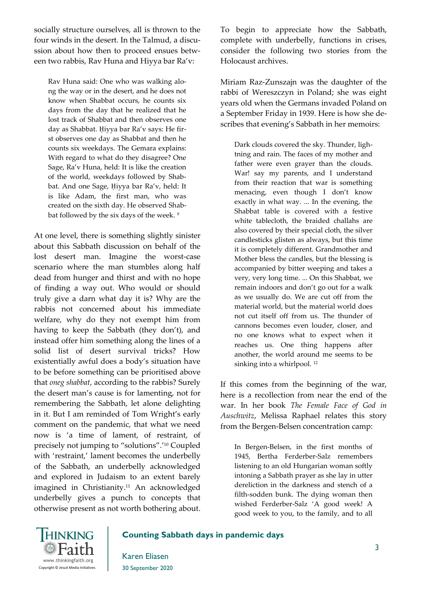socially structure ourselves, all is thrown to the four winds in the desert. In the Talmud, a discussion about how then to proceed ensues between two rabbis, Rav Huna and Hiyya bar Ra'v:

Rav Huna said: One who was walking along the way or in the desert, and he does not know when Shabbat occurs, he counts six days from the day that he realized that he lost track of Shabbat and then observes one day as Shabbat. Ḥiyya bar Ra'v says: He first observes one day as Shabbat and then he counts six weekdays. The Gemara explains: With regard to what do they disagree? One Sage, Ra'v Huna, held: It is like the creation of the world, weekdays followed by Shabbat. And one Sage, Ḥiyya bar Ra'v, held: It is like Adam, the first man, who was created on the sixth day. He observed Shabbat followed by the six days of the week.<sup>9</sup>

At one level, there is something slightly sinister about this Sabbath discussion on behalf of the lost desert man. Imagine the worst-case scenario where the man stumbles along half dead from hunger and thirst and with no hope of finding a way out. Who would or should truly give a darn what day it is? Why are the rabbis not concerned about his immediate welfare, why do they not exempt him from having to keep the Sabbath (they don't), and instead offer him something along the lines of a solid list of desert survival tricks? How existentially awful does a body's situation have to be before something can be prioritised above that *oneg shabbat*, according to the rabbis? Surely the desert man's cause is for lamenting, not for remembering the Sabbath, let alone delighting in it. But I am reminded of Tom Wright's early comment on the pandemic, that what we need now is 'a time of lament, of restraint, of precisely not jumping to "solutions".' <sup>10</sup> Coupled with 'restraint,' lament becomes the underbelly of the Sabbath, an underbelly acknowledged and explored in Judaism to an extent barely imagined in Christianity.<sup>11</sup> An acknowledged underbelly gives a punch to concepts that otherwise present as not worth bothering about.

To begin to appreciate how the Sabbath, complete with underbelly, functions in crises, consider the following two stories from the Holocaust archives.

Miriam Raz-Zunszajn was the daughter of the rabbi of Wereszczyn in Poland; she was eight years old when the Germans invaded Poland on a September Friday in 1939. Here is how she describes that evening's Sabbath in her memoirs:

Dark clouds covered the sky. Thunder, lightning and rain. The faces of my mother and father were even grayer than the clouds. War! say my parents, and I understand from their reaction that war is something menacing, even though I don't know exactly in what way. ... In the evening, the Shabbat table is covered with a festive white tablecloth, the braided challahs are also covered by their special cloth, the silver candlesticks glisten as always, but this time it is completely different. Grandmother and Mother bless the candles, but the blessing is accompanied by bitter weeping and takes a very, very long time. ... On this Shabbat, we remain indoors and don't go out for a walk as we usually do. We are cut off from the material world, but the material world does not cut itself off from us. The thunder of cannons becomes even louder, closer, and no one knows what to expect when it reaches us. One thing happens after another, the world around me seems to be sinking into a whirlpool.<sup>12</sup>

If this comes from the beginning of the war, here is a recollection from near the end of the war. In her book *The Female Face of God in Auschwitz*, Melissa Raphael relates this story from the Bergen-Belsen concentration camp:

In Bergen-Belsen, in the first months of 1945, Bertha Ferderber-Salz remembers listening to an old Hungarian woman softly intoning a Sabbath prayer as she lay in utter dereliction in the darkness and stench of a filth-sodden bunk. The dying woman then wished Ferderber-Salz 'A good week! A good week to you, to the family, and to all



# **Counting Sabbath days in pandemic days**

Karen Eliasen 30 September 2020